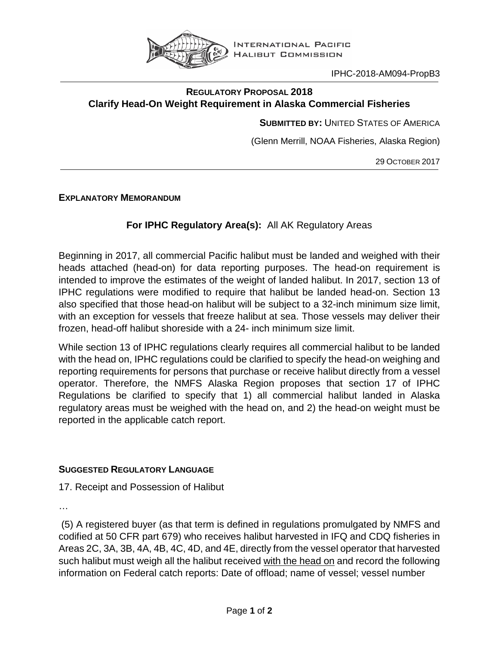

IPHC-2018-AM094-PropB3

## **REGULATORY PROPOSAL 2018 Clarify Head-On Weight Requirement in Alaska Commercial Fisheries**

**SUBMITTED BY:** UNITED STATES OF AMERICA

(Glenn Merrill, NOAA Fisheries, Alaska Region)

29 OCTOBER 2017

**EXPLANATORY MEMORANDUM**

## **For IPHC Regulatory Area(s):** All AK Regulatory Areas

Beginning in 2017, all commercial Pacific halibut must be landed and weighed with their heads attached (head-on) for data reporting purposes. The head-on requirement is intended to improve the estimates of the weight of landed halibut. In 2017, section 13 of IPHC regulations were modified to require that halibut be landed head-on. Section 13 also specified that those head-on halibut will be subject to a 32-inch minimum size limit, with an exception for vessels that freeze halibut at sea. Those vessels may deliver their frozen, head-off halibut shoreside with a 24- inch minimum size limit.

While section 13 of IPHC regulations clearly requires all commercial halibut to be landed with the head on, IPHC regulations could be clarified to specify the head-on weighing and reporting requirements for persons that purchase or receive halibut directly from a vessel operator. Therefore, the NMFS Alaska Region proposes that section 17 of IPHC Regulations be clarified to specify that 1) all commercial halibut landed in Alaska regulatory areas must be weighed with the head on, and 2) the head-on weight must be reported in the applicable catch report.

## **SUGGESTED REGULATORY LANGUAGE**

17. Receipt and Possession of Halibut

…

(5) A registered buyer (as that term is defined in regulations promulgated by NMFS and codified at 50 CFR part 679) who receives halibut harvested in IFQ and CDQ fisheries in Areas 2C, 3A, 3B, 4A, 4B, 4C, 4D, and 4E, directly from the vessel operator that harvested such halibut must weigh all the halibut received with the head on and record the following information on Federal catch reports: Date of offload; name of vessel; vessel number